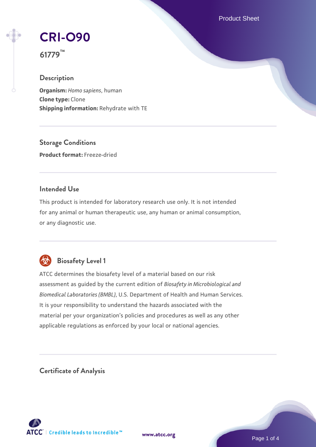Product Sheet

# **[CRI-O90](https://www.atcc.org/products/61779)**

**61779™**

# **Description**

**Organism:** *Homo sapiens*, human **Clone type:** Clone **Shipping information:** Rehydrate with TE

**Storage Conditions Product format:** Freeze-dried

## **Intended Use**

This product is intended for laboratory research use only. It is not intended for any animal or human therapeutic use, any human or animal consumption, or any diagnostic use.



# **Biosafety Level 1**

ATCC determines the biosafety level of a material based on our risk assessment as guided by the current edition of *Biosafety in Microbiological and Biomedical Laboratories (BMBL)*, U.S. Department of Health and Human Services. It is your responsibility to understand the hazards associated with the material per your organization's policies and procedures as well as any other applicable regulations as enforced by your local or national agencies.

**Certificate of Analysis**

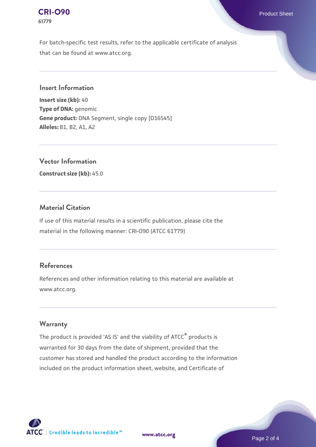#### **[CRI-O90](https://www.atcc.org/products/61779)** Product Sheet **61779**

For batch-specific test results, refer to the applicable certificate of analysis that can be found at www.atcc.org.

**Insert Information**

**Insert size (kb):** 40 **Type of DNA:** genomic **Gene product:** DNA Segment, single copy [D16S45] **Alleles:** B1, B2, A1, A2

**Vector Information**

**Construct size (kb):** 45.0

## **Material Citation**

If use of this material results in a scientific publication, please cite the material in the following manner: CRI-O90 (ATCC 61779)

## **References**

References and other information relating to this material are available at www.atcc.org.

#### **Warranty**

The product is provided 'AS IS' and the viability of ATCC® products is warranted for 30 days from the date of shipment, provided that the customer has stored and handled the product according to the information included on the product information sheet, website, and Certificate of

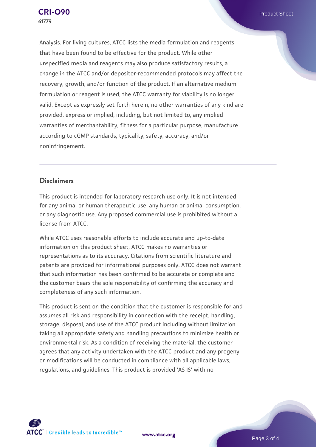Analysis. For living cultures, ATCC lists the media formulation and reagents that have been found to be effective for the product. While other unspecified media and reagents may also produce satisfactory results, a change in the ATCC and/or depositor-recommended protocols may affect the recovery, growth, and/or function of the product. If an alternative medium formulation or reagent is used, the ATCC warranty for viability is no longer valid. Except as expressly set forth herein, no other warranties of any kind are provided, express or implied, including, but not limited to, any implied warranties of merchantability, fitness for a particular purpose, manufacture according to cGMP standards, typicality, safety, accuracy, and/or noninfringement.

#### **Disclaimers**

This product is intended for laboratory research use only. It is not intended for any animal or human therapeutic use, any human or animal consumption, or any diagnostic use. Any proposed commercial use is prohibited without a license from ATCC.

While ATCC uses reasonable efforts to include accurate and up-to-date information on this product sheet, ATCC makes no warranties or representations as to its accuracy. Citations from scientific literature and patents are provided for informational purposes only. ATCC does not warrant that such information has been confirmed to be accurate or complete and the customer bears the sole responsibility of confirming the accuracy and completeness of any such information.

This product is sent on the condition that the customer is responsible for and assumes all risk and responsibility in connection with the receipt, handling, storage, disposal, and use of the ATCC product including without limitation taking all appropriate safety and handling precautions to minimize health or environmental risk. As a condition of receiving the material, the customer agrees that any activity undertaken with the ATCC product and any progeny or modifications will be conducted in compliance with all applicable laws, regulations, and guidelines. This product is provided 'AS IS' with no

**[www.atcc.org](http://www.atcc.org)**